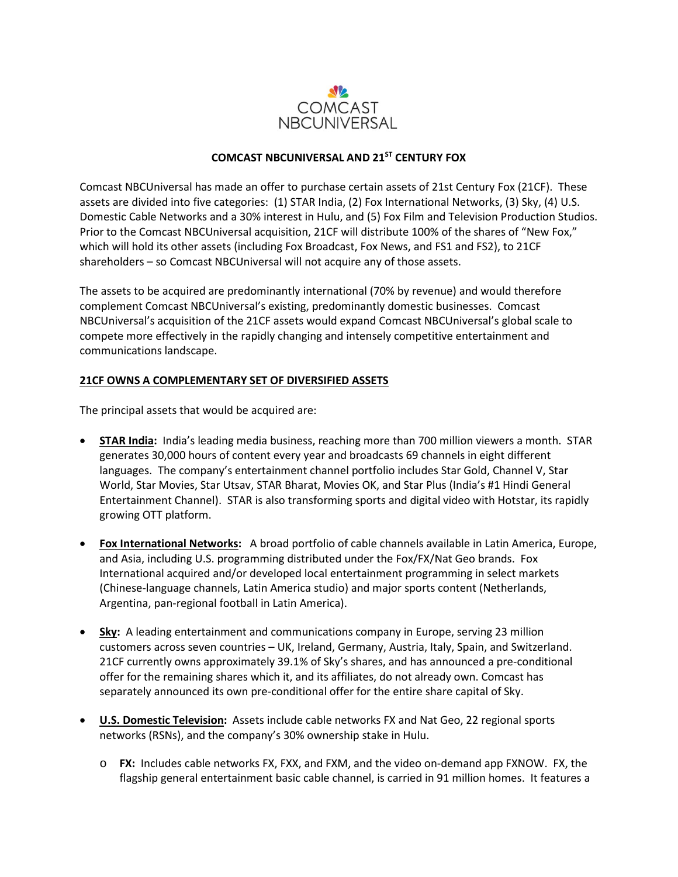

# **COMCAST NBCUNIVERSAL AND 21ST CENTURY FOX**

Comcast NBCUniversal has made an offer to purchase certain assets of 21st Century Fox (21CF). These assets are divided into five categories: (1) STAR India, (2) Fox International Networks, (3) Sky, (4) U.S. Domestic Cable Networks and a 30% interest in Hulu, and (5) Fox Film and Television Production Studios. Prior to the Comcast NBCUniversal acquisition, 21CF will distribute 100% of the shares of "New Fox," which will hold its other assets (including Fox Broadcast, Fox News, and FS1 and FS2), to 21CF shareholders – so Comcast NBCUniversal will not acquire any of those assets.

The assets to be acquired are predominantly international (70% by revenue) and would therefore complement Comcast NBCUniversal's existing, predominantly domestic businesses. Comcast NBCUniversal's acquisition of the 21CF assets would expand Comcast NBCUniversal's global scale to compete more effectively in the rapidly changing and intensely competitive entertainment and communications landscape.

# **21CF OWNS A COMPLEMENTARY SET OF DIVERSIFIED ASSETS**

The principal assets that would be acquired are:

- **STAR India:** India's leading media business, reaching more than 700 million viewers a month. STAR generates 30,000 hours of content every year and broadcasts 69 channels in eight different languages. The company's entertainment channel portfolio includes Star Gold, Channel V, Star World, Star Movies, Star Utsav, STAR Bharat, Movies OK, and Star Plus (India's #1 Hindi General Entertainment Channel). STAR is also transforming sports and digital video with Hotstar, its rapidly growing OTT platform.
- **Fox International Networks:** A broad portfolio of cable channels available in Latin America, Europe, and Asia, including U.S. programming distributed under the Fox/FX/Nat Geo brands. Fox International acquired and/or developed local entertainment programming in select markets (Chinese-language channels, Latin America studio) and major sports content (Netherlands, Argentina, pan-regional football in Latin America).
- **Sky:** A leading entertainment and communications company in Europe, serving 23 million customers across seven countries – UK, Ireland, Germany, Austria, Italy, Spain, and Switzerland. 21CF currently owns approximately 39.1% of Sky's shares, and has announced a pre-conditional offer for the remaining shares which it, and its affiliates, do not already own. Comcast has separately announced its own pre-conditional offer for the entire share capital of Sky.
- **U.S. Domestic Television:** Assets include cable networks FX and Nat Geo, 22 regional sports networks (RSNs), and the company's 30% ownership stake in Hulu.
	- o **FX:** Includes cable networks FX, FXX, and FXM, and the video on-demand app FXNOW. FX, the flagship general entertainment basic cable channel, is carried in 91 million homes. It features a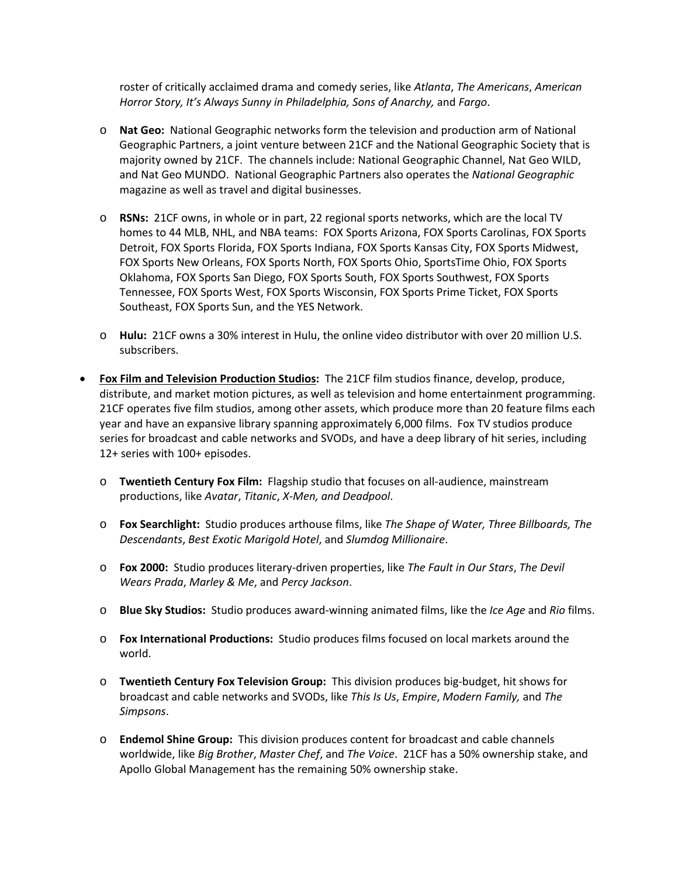roster of critically acclaimed drama and comedy series, like *Atlanta*, *The Americans*, *American Horror Story, It's Always Sunny in Philadelphia, Sons of Anarchy,* and *Fargo*.

- o **Nat Geo:** National Geographic networks form the television and production arm of National Geographic Partners, a joint venture between 21CF and the National Geographic Society that is majority owned by 21CF. The channels include: National Geographic Channel, Nat Geo WILD, and Nat Geo MUNDO. National Geographic Partners also operates the *National Geographic* magazine as well as travel and digital businesses.
- o **RSNs:** 21CF owns, in whole or in part, 22 regional sports networks, which are the local TV homes to 44 MLB, NHL, and NBA teams: FOX Sports Arizona, FOX Sports Carolinas, FOX Sports Detroit, FOX Sports Florida, FOX Sports Indiana, FOX Sports Kansas City, FOX Sports Midwest, FOX Sports New Orleans, FOX Sports North, FOX Sports Ohio, SportsTime Ohio, FOX Sports Oklahoma, FOX Sports San Diego, FOX Sports South, FOX Sports Southwest, FOX Sports Tennessee, FOX Sports West, FOX Sports Wisconsin, FOX Sports Prime Ticket, FOX Sports Southeast, FOX Sports Sun, and the YES Network.
- o **Hulu:** 21CF owns a 30% interest in Hulu, the online video distributor with over 20 million U.S. subscribers.
- **Fox Film and Television Production Studios:** The 21CF film studios finance, develop, produce, distribute, and market motion pictures, as well as television and home entertainment programming. 21CF operates five film studios, among other assets, which produce more than 20 feature films each year and have an expansive library spanning approximately 6,000 films. Fox TV studios produce series for broadcast and cable networks and SVODs, and have a deep library of hit series, including 12+ series with 100+ episodes.
	- o **Twentieth Century Fox Film:** Flagship studio that focuses on all-audience, mainstream productions, like *Avatar*, *Titanic*, *X-Men, and Deadpool*.
	- o **Fox Searchlight:** Studio produces arthouse films, like *The Shape of Water, Three Billboards, The Descendants*, *Best Exotic Marigold Hotel*, and *Slumdog Millionaire*.
	- o **Fox 2000:** Studio produces literary-driven properties, like *The Fault in Our Stars*, *The Devil Wears Prada*, *Marley & Me*, and *Percy Jackson*.
	- o **Blue Sky Studios:** Studio produces award-winning animated films, like the *Ice Age* and *Rio* films.
	- o **Fox International Productions:** Studio produces films focused on local markets around the world.
	- o **Twentieth Century Fox Television Group:** This division produces big-budget, hit shows for broadcast and cable networks and SVODs, like *This Is Us*, *Empire*, *Modern Family,* and *The Simpsons*.
	- o **Endemol Shine Group:** This division produces content for broadcast and cable channels worldwide, like *Big Brother*, *Master Chef*, and *The Voice*. 21CF has a 50% ownership stake, and Apollo Global Management has the remaining 50% ownership stake.